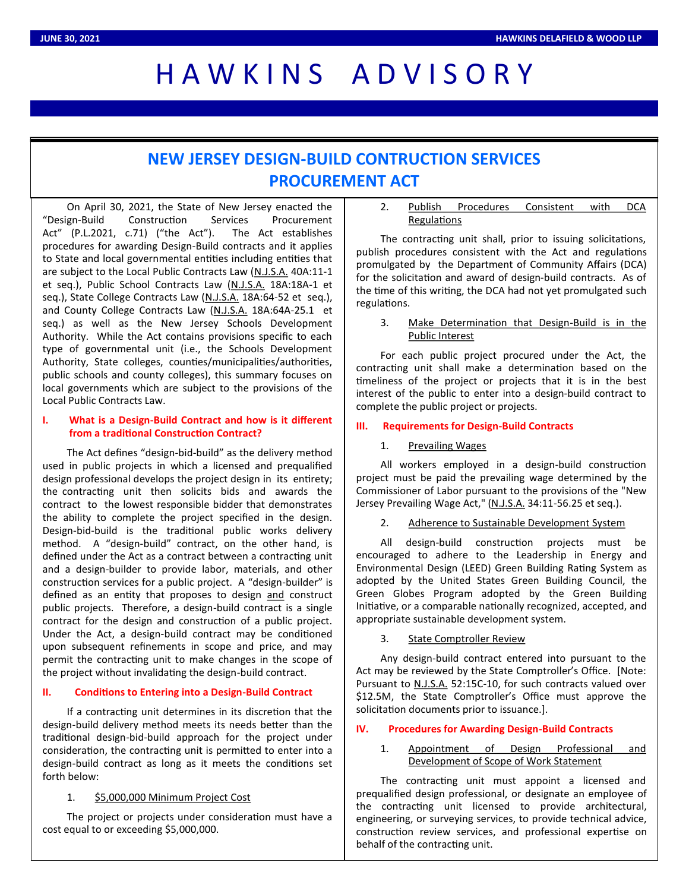# HAWKINS ADVISORY

# **NEW JERSEY DESIGN-BUILD CONTRUCTION SERVICES PROCUREMENT ACT**

On April 30, 2021, the State of New Jersey enacted the "Design-Build Construction Services Procurement Act" (P.L.2021, c.71) ("the Act"). The Act establishes procedures for awarding Design-Build contracts and it applies to State and local governmental entities including entities that are subject to the Local Public Contracts Law (N.J.S.A. 40A:11-1 et seq.), Public School Contracts Law (N.J.S.A. 18A:18A-1 et seq.), State College Contracts Law (N.J.S.A. 18A:64-52 et seq.), and County College Contracts Law (N.J.S.A. 18A:64A-25.1 et seq.) as well as the New Jersey Schools Development Authority. While the Act contains provisions specific to each type of governmental unit (i.e., the Schools Development Authority, State colleges, counties/municipalities/authorities, public schools and county colleges), this summary focuses on local governments which are subject to the provisions of the Local Public Contracts Law.

# **I. What is a Design-Build Contract and how is it different from a traditional Construction Contract?**

The Act defines "design-bid-build" as the delivery method used in public projects in which a licensed and prequalified design professional develops the project design in its entirety; the contracting unit then solicits bids and awards the contract to the lowest responsible bidder that demonstrates the ability to complete the project specified in the design. Design-bid-build is the traditional public works delivery method. A "design-build" contract, on the other hand, is defined under the Act as a contract between a contracting unit and a design-builder to provide labor, materials, and other construction services for a public project. A "design-builder" is defined as an entity that proposes to design and construct public projects. Therefore, a design-build contract is a single contract for the design and construction of a public project. Under the Act, a design-build contract may be conditioned upon subsequent refinements in scope and price, and may permit the contracting unit to make changes in the scope of the project without invalidating the design-build contract.

# **II. Conditions to Entering into a Design-Build Contract**

If a contracting unit determines in its discretion that the design-build delivery method meets its needs better than the traditional design-bid-build approach for the project under consideration, the contracting unit is permitted to enter into a design-build contract as long as it meets the conditions set forth below:

# 1. \$5,000,000 Minimum Project Cost

The project or projects under consideration must have a cost equal to or exceeding \$5,000,000.

2. Publish Procedures Consistent with DCA Regulations

The contracting unit shall, prior to issuing solicitations, publish procedures consistent with the Act and regulations promulgated by the Department of Community Affairs (DCA) for the solicitation and award of design-build contracts. As of the time of this writing, the DCA had not yet promulgated such regulations.

# 3. Make Determination that Design-Build is in the Public Interest

For each public project procured under the Act, the contracting unit shall make a determination based on the timeliness of the project or projects that it is in the best interest of the public to enter into a design-build contract to complete the public project or projects.

#### **III. Requirements for Design-Build Contracts**

## 1. Prevailing Wages

All workers employed in a design-build construction project must be paid the prevailing wage determined by the Commissioner of Labor pursuant to the provisions of the "New Jersey Prevailing Wage Act," (N.J.S.A. 34:11-56.25 et seq.).

# 2. Adherence to Sustainable Development System

All design-build construction projects must be encouraged to adhere to the Leadership in Energy and Environmental Design (LEED) Green Building Rating System as adopted by the United States Green Building Council, the Green Globes Program adopted by the Green Building Initiative, or a comparable nationally recognized, accepted, and appropriate sustainable development system.

# 3. State Comptroller Review

Any design-build contract entered into pursuant to the Act may be reviewed by the State Comptroller's Office. [Note: Pursuant to N.J.S.A. 52:15C-10, for such contracts valued over \$12.5M, the State Comptroller's Office must approve the solicitation documents prior to issuance.].

#### **IV. Procedures for Awarding Design-Build Contracts**

# 1. Appointment of Design Professional and Development of Scope of Work Statement

The contracting unit must appoint a licensed and prequalified design professional, or designate an employee of the contracting unit licensed to provide architectural, engineering, or surveying services, to provide technical advice, construction review services, and professional expertise on behalf of the contracting unit.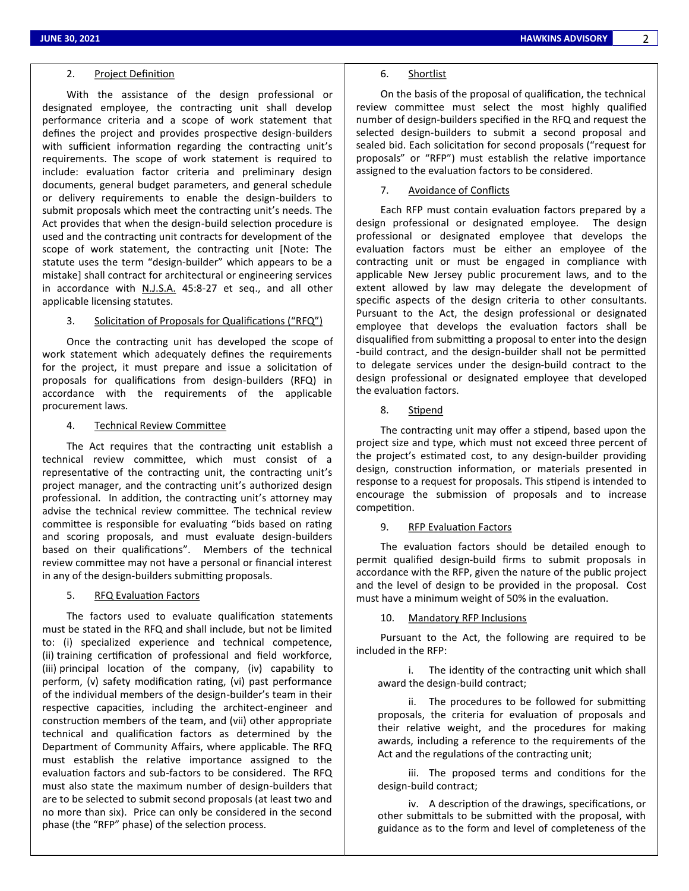#### 2. Project Definition

With the assistance of the design professional or designated employee, the contracting unit shall develop performance criteria and a scope of work statement that defines the project and provides prospective design-builders with sufficient information regarding the contracting unit's requirements. The scope of work statement is required to include: evaluation factor criteria and preliminary design documents, general budget parameters, and general schedule or delivery requirements to enable the design-builders to submit proposals which meet the contracting unit's needs. The Act provides that when the design-build selection procedure is used and the contracting unit contracts for development of the scope of work statement, the contracting unit [Note: The statute uses the term "design-builder" which appears to be a mistake] shall contract for architectural or engineering services in accordance with N.J.S.A. 45:8-27 et seq., and all other applicable licensing statutes.

#### 3. Solicitation of Proposals for Qualifications ("RFQ")

Once the contracting unit has developed the scope of work statement which adequately defines the requirements for the project, it must prepare and issue a solicitation of proposals for qualifications from design-builders (RFQ) in accordance with the requirements of the applicable procurement laws.

#### 4. Technical Review Committee

The Act requires that the contracting unit establish a technical review committee, which must consist of a representative of the contracting unit, the contracting unit's project manager, and the contracting unit's authorized design professional. In addition, the contracting unit's attorney may advise the technical review committee. The technical review committee is responsible for evaluating "bids based on rating and scoring proposals, and must evaluate design-builders based on their qualifications". Members of the technical review committee may not have a personal or financial interest in any of the design-builders submitting proposals.

## 5. RFQ Evaluation Factors

The factors used to evaluate qualification statements must be stated in the RFQ and shall include, but not be limited to: (i) specialized experience and technical competence, (ii) training certification of professional and field workforce, (iii) principal location of the company, (iv) capability to perform, (v) safety modification rating, (vi) past performance of the individual members of the design-builder's team in their respective capacities, including the architect-engineer and construction members of the team, and (vii) other appropriate technical and qualification factors as determined by the Department of Community Affairs, where applicable. The RFQ must establish the relative importance assigned to the evaluation factors and sub-factors to be considered. The RFQ must also state the maximum number of design-builders that are to be selected to submit second proposals (at least two and no more than six). Price can only be considered in the second phase (the "RFP" phase) of the selection process.

#### 6. Shortlist

On the basis of the proposal of qualification, the technical review committee must select the most highly qualified number of design-builders specified in the RFQ and request the selected design-builders to submit a second proposal and sealed bid. Each solicitation for second proposals ("request for proposals" or "RFP") must establish the relative importance assigned to the evaluation factors to be considered.

#### 7. Avoidance of Conflicts

Each RFP must contain evaluation factors prepared by a design professional or designated employee. The design professional or designated employee that develops the evaluation factors must be either an employee of the contracting unit or must be engaged in compliance with applicable New Jersey public procurement laws, and to the extent allowed by law may delegate the development of specific aspects of the design criteria to other consultants. Pursuant to the Act, the design professional or designated employee that develops the evaluation factors shall be disqualified from submitting a proposal to enter into the design -build contract, and the design-builder shall not be permitted to delegate services under the design-build contract to the design professional or designated employee that developed the evaluation factors.

8. Stipend

The contracting unit may offer a stipend, based upon the project size and type, which must not exceed three percent of the project's estimated cost, to any design-builder providing design, construction information, or materials presented in response to a request for proposals. This stipend is intended to encourage the submission of proposals and to increase competition.

#### 9. RFP Evaluation Factors

The evaluation factors should be detailed enough to permit qualified design-build firms to submit proposals in accordance with the RFP, given the nature of the public project and the level of design to be provided in the proposal. Cost must have a minimum weight of 50% in the evaluation.

#### 10. Mandatory RFP Inclusions

Pursuant to the Act, the following are required to be included in the RFP:

i. The identity of the contracting unit which shall award the design-build contract;

ii. The procedures to be followed for submitting proposals, the criteria for evaluation of proposals and their relative weight, and the procedures for making awards, including a reference to the requirements of the Act and the regulations of the contracting unit;

iii. The proposed terms and conditions for the design-build contract;

iv. A description of the drawings, specifications, or other submittals to be submitted with the proposal, with guidance as to the form and level of completeness of the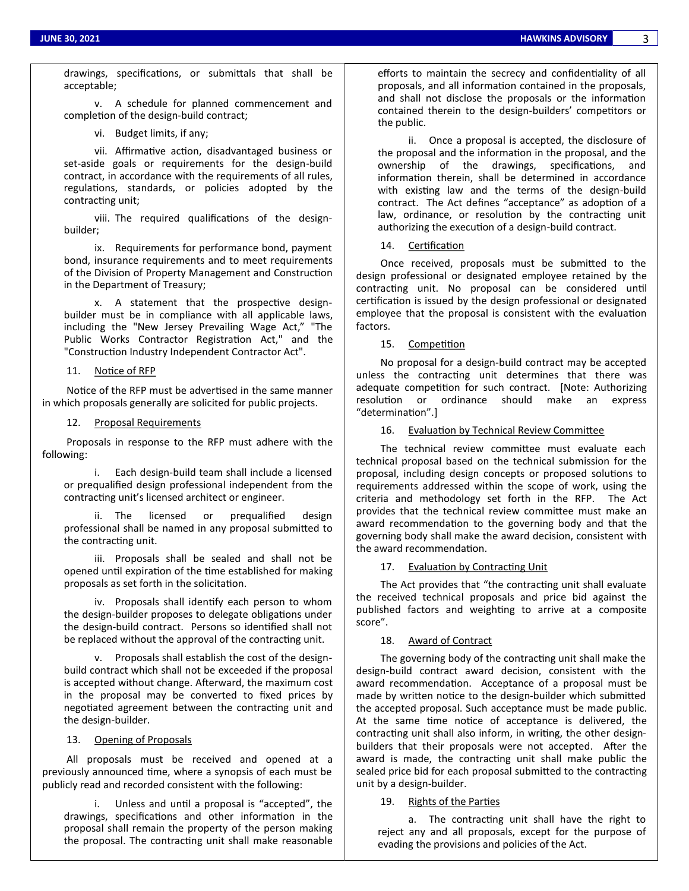drawings, specifications, or submittals that shall be acceptable;

v. A schedule for planned commencement and completion of the design-build contract;

vi. Budget limits, if any;

vii. Affirmative action, disadvantaged business or set-aside goals or requirements for the design-build contract, in accordance with the requirements of all rules, regulations, standards, or policies adopted by the contracting unit;

viii. The required qualifications of the designbuilder;

ix. Requirements for performance bond, payment bond, insurance requirements and to meet requirements of the Division of Property Management and Construction in the Department of Treasury;

x. A statement that the prospective designbuilder must be in compliance with all applicable laws, including the "New Jersey Prevailing Wage Act," "The Public Works Contractor Registration Act," and the "Construction Industry Independent Contractor Act".

#### 11. Notice of RFP

Notice of the RFP must be advertised in the same manner in which proposals generally are solicited for public projects.

#### 12. Proposal Requirements

Proposals in response to the RFP must adhere with the following:

i. Each design-build team shall include a licensed or prequalified design professional independent from the contracting unit's licensed architect or engineer.

ii. The licensed or prequalified design professional shall be named in any proposal submitted to the contracting unit.

iii. Proposals shall be sealed and shall not be opened until expiration of the time established for making proposals as set forth in the solicitation.

iv. Proposals shall identify each person to whom the design-builder proposes to delegate obligations under the design-build contract. Persons so identified shall not be replaced without the approval of the contracting unit.

v. Proposals shall establish the cost of the designbuild contract which shall not be exceeded if the proposal is accepted without change. Afterward, the maximum cost in the proposal may be converted to fixed prices by negotiated agreement between the contracting unit and the design-builder.

#### 13. Opening of Proposals

All proposals must be received and opened at a previously announced time, where a synopsis of each must be publicly read and recorded consistent with the following:

i. Unless and until a proposal is "accepted", the drawings, specifications and other information in the proposal shall remain the property of the person making the proposal. The contracting unit shall make reasonable

efforts to maintain the secrecy and confidentiality of all proposals, and all information contained in the proposals, and shall not disclose the proposals or the information contained therein to the design-builders' competitors or the public.

ii. Once a proposal is accepted, the disclosure of the proposal and the information in the proposal, and the ownership of the drawings, specifications, and information therein, shall be determined in accordance with existing law and the terms of the design-build contract. The Act defines "acceptance" as adoption of a law, ordinance, or resolution by the contracting unit authorizing the execution of a design-build contract.

#### 14. Certification

Once received, proposals must be submitted to the design professional or designated employee retained by the contracting unit. No proposal can be considered until certification is issued by the design professional or designated employee that the proposal is consistent with the evaluation factors.

15. Competition

No proposal for a design-build contract may be accepted unless the contracting unit determines that there was adequate competition for such contract. [Note: Authorizing resolution or ordinance should make an express "determination".]

16. Evaluation by Technical Review Committee

The technical review committee must evaluate each technical proposal based on the technical submission for the proposal, including design concepts or proposed solutions to requirements addressed within the scope of work, using the criteria and methodology set forth in the RFP. The Act provides that the technical review committee must make an award recommendation to the governing body and that the governing body shall make the award decision, consistent with the award recommendation.

#### 17. Evaluation by Contracting Unit

The Act provides that "the contracting unit shall evaluate the received technical proposals and price bid against the published factors and weighting to arrive at a composite score".

#### 18. Award of Contract

The governing body of the contracting unit shall make the design-build contract award decision, consistent with the award recommendation. Acceptance of a proposal must be made by written notice to the design-builder which submitted the accepted proposal. Such acceptance must be made public. At the same time notice of acceptance is delivered, the contracting unit shall also inform, in writing, the other designbuilders that their proposals were not accepted. After the award is made, the contracting unit shall make public the sealed price bid for each proposal submitted to the contracting unit by a design-builder.

#### 19. Rights of the Parties

a. The contracting unit shall have the right to reject any and all proposals, except for the purpose of evading the provisions and policies of the Act.